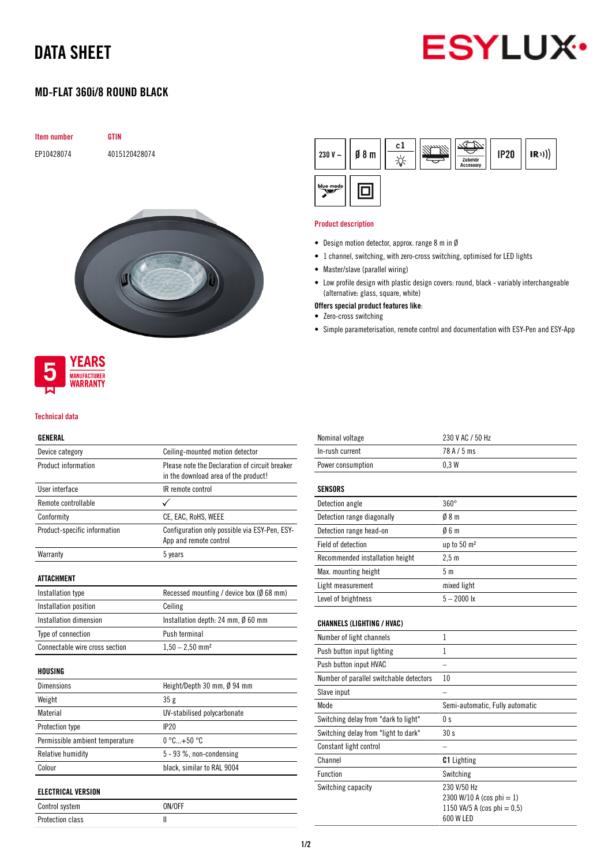# DATA SHEET



## MD-FLAT 360i/8 ROUND BLACK

| <b>GTIN</b>   |
|---------------|
| 4015120428074 |
|               |
|               |
|               |





#### Technical data

### GENERAL

| Device category                 | Ceiling-mounted motion detector                                                        |
|---------------------------------|----------------------------------------------------------------------------------------|
| Product information             | Please note the Declaration of circuit breaker<br>in the download area of the product! |
| User interface                  | IR remote control                                                                      |
| Remote controllable             | ✓                                                                                      |
| Conformity                      | CE, EAC, RoHS, WEEE                                                                    |
| Product-specific information    | Configuration only possible via ESY-Pen, ESY-<br>App and remote control                |
| Warranty                        | 5 years                                                                                |
| <b>ATTACHMENT</b>               |                                                                                        |
| Installation type               | Recessed mounting / device box ( $\emptyset$ 68 mm)                                    |
| Installation position           | Ceiling                                                                                |
| Installation dimension          | Installation depth: 24 mm, $\emptyset$ 60 mm                                           |
| Type of connection              | Push terminal                                                                          |
| Connectable wire cross section  | $1,50 - 2,50$ mm <sup>2</sup>                                                          |
| HOUSING                         |                                                                                        |
| <b>Dimensions</b>               | Height/Depth 30 mm, Ø 94 mm                                                            |
| Weight                          | 35g                                                                                    |
| Material                        | UV-stabilised polycarbonate                                                            |
| Protection type                 | IP20                                                                                   |
| Permissible ambient temperature | $0^{\circ}$ C+50 $^{\circ}$ C                                                          |
| Relative humidity               | 5 - 93 %, non-condensing                                                               |
| Colour                          | black, similar to RAL 9004                                                             |
| <b>ELECTRICAL VERSION</b>       |                                                                                        |
| Control system                  | ON/OFF                                                                                 |

Protection class and II

| 230 V $\sim$ | $\emptyset$ 8 m | c1 | Zubehör<br>Accessory | <b>IP20</b> | (R)) |
|--------------|-----------------|----|----------------------|-------------|------|
| blue mode    |                 |    |                      |             |      |

#### Product description

- Design motion detector, approx. range 8 m in Ø
- 1 channel, switching, with zero-cross switching, optimised for LED lights
- Master/slave (parallel wiring)
- Low profile design with plastic design covers: round, black variably interchangeable (alternative: glass, square, white)
- Offers special product features like:
- Zero-cross switching
- Simple parameterisation, remote control and documentation with ESY-Pen and ESY-App

| Nominal voltage                         | 230 V AC / 50 Hz                                                                     |
|-----------------------------------------|--------------------------------------------------------------------------------------|
| In-rush current                         | 78 A / 5 ms                                                                          |
| Power consumption                       | 0.3W                                                                                 |
| <b>SENSORS</b>                          |                                                                                      |
| Detection angle                         | $360^\circ$                                                                          |
| Detection range diagonally              | 08 m                                                                                 |
| Detection range head-on                 | 06m                                                                                  |
| <b>Field of detection</b>               | up to 50 m <sup>2</sup>                                                              |
| Recommended installation height         | 2.5 <sub>m</sub>                                                                     |
| Max. mounting height                    | 5 <sub>m</sub>                                                                       |
| Light measurement                       | mixed light                                                                          |
| Level of brightness                     | $5 - 2000$ lx                                                                        |
| <b>CHANNELS (LIGHTING / HVAC)</b>       |                                                                                      |
| Number of light channels                | 1                                                                                    |
| Push button input lighting              | 1                                                                                    |
| Push button input HVAC                  |                                                                                      |
| Number of parallel switchable detectors | 10                                                                                   |
| Slave input                             |                                                                                      |
| Mode                                    | Semi-automatic, Fully automatic                                                      |
| Switching delay from "dark to light"    | 0 s                                                                                  |
| Switching delay from "light to dark"    | 30s                                                                                  |
| Constant light control                  |                                                                                      |
| Channel                                 | <b>C1</b> Lighting                                                                   |
| Function                                | Switching                                                                            |
| Switching capacity                      | 230 V/50 Hz<br>2300 W/10 A (cos phi = 1)<br>1150 VA/5 A (cos phi = 0,5)<br>600 W LED |